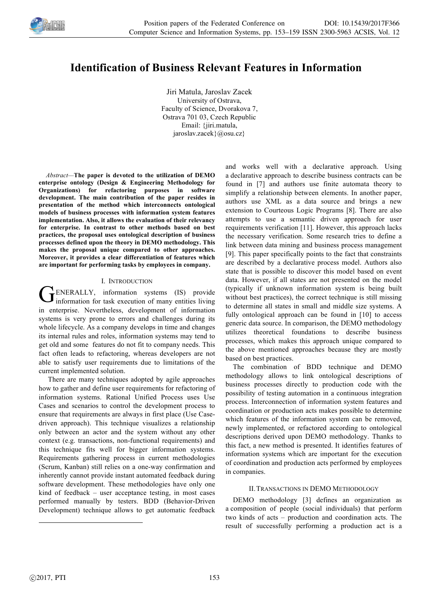

# **Identification of Business Relevant Features in Information**

Jiri Matula, Jaroslav Zacek University of Ostrava, Faculty of Science, Dvorakova 7, Ostrava 701 03, Czech Republic Email: {jiri.matula, jaroslav.zacek}@osu.cz}

*Abstract—***The paper is devoted to the utilization of DEMO enterprise ontology (Design & Engineering Methodology for Organizations) for refactoring purposes in software development. The main contribution of the paper resides in presentation of the method which interconnects ontological models of business processes with information system features implementation. Also, it allows the evaluation of their relevancy for enterprise. In contrast to other methods based on best practices, the proposal uses ontological description of business processes defined upon the theory in DEMO methodology. This makes the proposal unique compared to other approaches. Moreover, it provides a clear differentiation of features which are important for performing tasks by employees in company.** 

## I. INTRODUCTION

ENERALLY, information systems (IS) provide GENERALLY, information systems (IS) provide<br>information for task execution of many entities living in enterprise. Nevertheless, development of information systems is very prone to errors and challenges during its whole lifecycle. As a company develops in time and changes its internal rules and roles, information systems may tend to get old and some features do not fit to company needs. This fact often leads to refactoring, whereas developers are not able to satisfy user requirements due to limitations of the current implemented solution.

There are many techniques adopted by agile approaches how to gather and define user requirements for refactoring of information systems. Rational Unified Process uses Use Cases and scenarios to control the development process to ensure that requirements are always in first place (Use Casedriven approach). This technique visualizes a relationship only between an actor and the system without any other context (e.g. transactions, non-functional requirements) and this technique fits well for bigger information systems. Requirements gathering process in current methodologies (Scrum, Kanban) still relies on a one-way confirmation and inherently cannot provide instant automated feedback during software development. These methodologies have only one kind of feedback – user acceptance testing, in most cases performed manually by testers. BDD (Behavior-Driven Development) technique allows to get automatic feedback

and works well with a declarative approach. Using a declarative approach to describe business contracts can be found in [7] and authors use finite automata theory to simplify a relationship between elements. In another paper, authors use XML as a data source and brings a new extension to Courteous Logic Programs [8]. There are also attempts to use a semantic driven approach for user requirements verification [11]. However, this approach lacks the necessary verification. Some research tries to define a link between data mining and business process management [9]. This paper specifically points to the fact that constraints are described by a declarative process model. Authors also state that is possible to discover this model based on event data. However, if all states are not presented on the model (typically if unknown information system is being built without best practices), the correct technique is still missing to determine all states in small and middle size systems. A fully ontological approach can be found in [10] to access generic data source. In comparison, the DEMO methodology utilizes theoretical foundations to describe business processes, which makes this approach unique compared to the above mentioned approaches because they are mostly based on best practices.

The combination of BDD technique and DEMO methodology allows to link ontological descriptions of business processes directly to production code with the possibility of testing automation in a continuous integration process. Interconnection of information system features and coordination or production acts makes possible to determine which features of the information system can be removed, newly implemented, or refactored according to ontological descriptions derived upon DEMO methodology. Thanks to this fact, a new method is presented. It identifies features of information systems which are important for the execution of coordination and production acts performed by employees in companies.

## II.TRANSACTIONS IN DEMO METHODOLOGY

DEMO methodology [3] defines an organization as a composition of people (social individuals) that perform two kinds of acts – production and coordination acts. The result of successfully performing a production act is a

j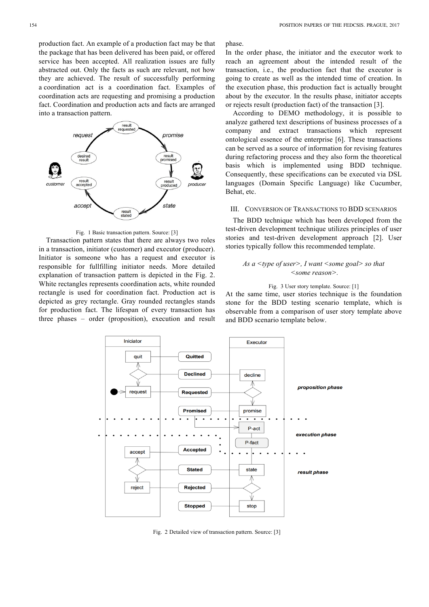production fact. An example of a production fact may be that the package that has been delivered has been paid, or offered service has been accepted. All realization issues are fully abstracted out. Only the facts as such are relevant, not how they are achieved. The result of successfully performing a coordination act is a coordination fact. Examples of coordination acts are requesting and promising a production fact. Coordination and production acts and facts are arranged into a transaction pattern.



Fig. 1 Basic transaction pattern. Source: [3]

Transaction pattern states that there are always two roles in a transaction, initiator (customer) and executor (producer). Initiator is someone who has a request and executor is responsible for fullfilling initiator needs. More detailed explanation of transaction pattern is depicted in the Fig. 2. White rectangles represents coordination acts, white rounded rectangle is used for coordination fact. Production act is depicted as grey rectangle. Gray rounded rectangles stands for production fact. The lifespan of every transaction has three phases – order (proposition), execution and result phase.

In the order phase, the initiator and the executor work to reach an agreement about the intended result of the transaction, i.e., the production fact that the executor is going to create as well as the intended time of creation. In the execution phase, this production fact is actually brought about by the executor. In the results phase, initiator accepts or rejects result (production fact) of the transaction [3].

According to DEMO methodology, it is possible to analyze gathered text descriptions of business processes of a company and extract transactions which represent ontological essence of the enterprise [6]. These transactions can be served as a source of information for revising features during refactoring process and they also form the theoretical basis which is implemented using BDD technique. Consequently, these specifications can be executed via DSL languages (Domain Specific Language) like Cucumber, Behat, etc.

# III. CONVERSION OF TRANSACTIONS TO BDD SCENARIOS

The BDD technique which has been developed from the test-driven development technique utilizes principles of user stories and test-driven development approach [2]. User stories typically follow this recommended template.

# *As a <type of user>, I want <some goal> so that <some reason>.*

#### Fig. 3 User story template. Source: [1]

At the same time, user stories technique is the foundation stone for the BDD testing scenario template, which is observable from a comparison of user story template above and BDD scenario template below.



Fig. 2 Detailed view of transaction pattern. Source: [3]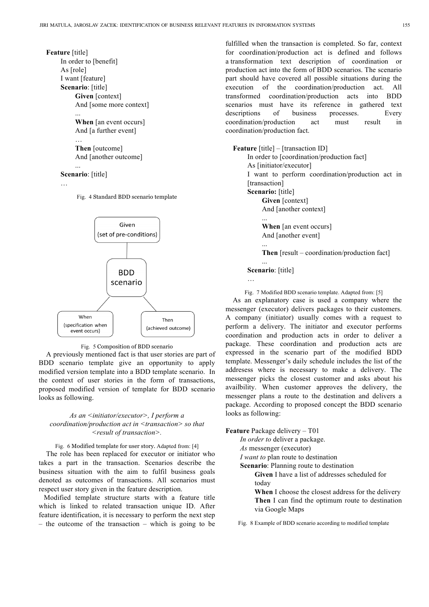### **Feature** [title]

```
In order to [benefit]
As [role] 
I want [feature]
Scenario: [title]
     Given [context]
     And [some more context]
     ...
```
**When** [an event occurs] And [a further event] … **Then** [outcome] And [another outcome]

# **Scenario**: [title]

...

```
…
```
Fig. 4 Standard BDD scenario template



# Fig. 5 Composition of BDD scenario

A previously mentioned fact is that user stories are part of BDD scenario template give an opportunity to apply modified version template into a BDD template scenario. In the context of user stories in the form of transactions, proposed modified version of template for BDD scenario looks as following.

# *As an <initiator/executor>, I perform a coordination/production act in <transaction> so that <result of transaction>.*

Fig. 6 Modified template for user story. Adapted from: [4] The role has been replaced for executor or initiator who takes a part in the transaction. Scenarios describe the business situation with the aim to fulfil business goals denoted as outcomes of transactions. All scenarios must respect user story given in the feature description.

Modified template structure starts with a feature title which is linked to related transaction unique ID. After feature identification, it is necessary to perform the next step – the outcome of the transaction – which is going to be

fulfilled when the transaction is completed. So far, context for coordination/production act is defined and follows a transformation text description of coordination or production act into the form of BDD scenarios. The scenario part should have covered all possible situations during the execution of the coordination/production act. All transformed coordination/production acts into BDD scenarios must have its reference in gathered text descriptions of business processes. Every coordination/production act must result in coordination/production fact.

**Feature** [title] – [transaction ID]

In order to [coordination/production fact] As [initiator/executor] I want to perform coordination/production act in [transaction] **Scenario:** [title] **Given** [context] And [another context] ...

**When** [an event occurs] And [another event]

**Then** [result – coordination/production fact]

## ... **Scenario**: [title]

…

...

Fig. 7 Modified BDD scenario template. Adapted from: [5]

As an explanatory case is used a company where the messenger (executor) delivers packages to their customers. A company (initiator) usually comes with a request to perform a delivery. The initiator and executor performs coordination and production acts in order to deliver a package. These coordination and production acts are expressed in the scenario part of the modified BDD template. Messenger's daily schedule includes the list of the addresess where is necessary to make a delivery. The messenger picks the closest customer and asks about his availbility. When customer approves the delivery, the messenger plans a route to the destination and delivers a package. According to proposed concept the BDD scenario looks as following:

**Feature** Package delivery – T01

*In order to* deliver a package.

*As* messenger (executor)

*I want to* plan route to destination

**Scenario**: Planning route to destination

**Given** I have a list of addresses scheduled for today

**When** I choose the closest address for the delivery **Then** I can find the optimum route to destination via Google Maps

Fig. 8 Example of BDD scenario according to modified template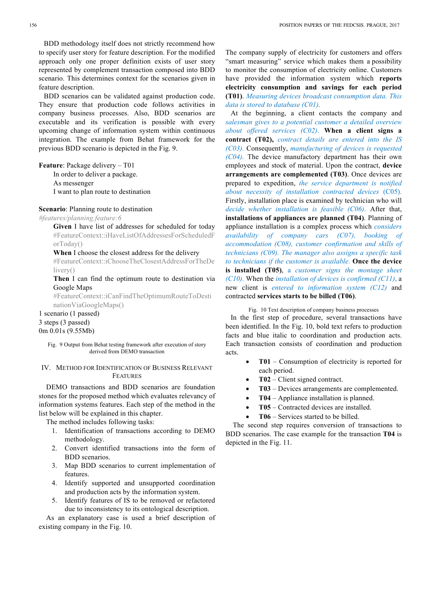BDD methodology itself does not strictly recommend how to specify user story for feature description. For the modified approach only one proper definition exists of user story represented by complement transaction composed into BDD scenario. This determines context for the scenarios given in feature description.

BDD scenarios can be validated against production code. They ensure that production code follows activities in company business processes. Also, BDD scenarios are executable and its verification is possible with every upcoming change of information system within continuous integration. The example from Behat framework for the previous BDD scenario is depicted in the Fig. 9.

**Feature**: Package delivery – T01

In order to deliver a package.

As messenger I want to plan route to destination

# **Scenario**: Planning route to destination

*#features/planning.feature:6*

**Given** I have list of addresses for scheduled for today #FeatureContext::iHaveListOfAddressesForScheduledF orToday()

**When** I choose the closest address for the delivery

#FeatureContext::iChooseTheClosestAddressForTheDe livery()

**Then** I can find the optimum route to destination via Google Maps

#FeatureContext::iCanFindTheOptimumRouteToDesti nationViaGoogleMaps()

1 scenario (1 passed) 3 steps (3 passed) 0m 0.01s (9.55Mb)

## IV. METHOD FOR IDENTIFICATION OF BUSINESS RELEVANT FEATURES

DEMO transactions and BDD scenarios are foundation stones for the proposed method which evaluates relevancy of information systems features. Each step of the method in the list below will be explained in this chapter.

The method includes following tasks:

- 1. Identification of transactions according to DEMO methodology.
- 2. Convert identified transactions into the form of BDD scenarios.
- 3. Map BDD scenarios to current implementation of features.
- 4. Identify supported and unsupported coordination and production acts by the information system.
- 5. Identify features of IS to be removed or refactored due to inconsistency to its ontological description.

As an explanatory case is used a brief description of existing company in the Fig. 10.

The company supply of electricity for customers and offers "smart measuring" service which makes them a possibility to monitor the consumption of electricity online. Customers have provided the information system which **reports electricity consumption and savings for each period (T01)**. *Measuring devices broadcast consumption data. This data is stored to database (C01).*

At the beginning, a client contacts the company and *salesman gives to a potential customer a detailed overview about offered services (C02)*. **When a client signs a contract (T02),** *contract details are entered into the IS (C03).* Consequently, *manufacturing of devices is requested (C04).* The device manufactory department has their own employees and stock of material. Upon the contract, **device arrangements are complemented (T03)**. Once devices are prepared to expedition, *the service department is notified about necessity of installation contracted devices* (C05). Firstly, installation place is examined by technician who will *decide whether installation is feasible (C06)*. After that, **installations of appliances are planned (T04)**. Planning of appliance installation is a complex process which *considers availability of company cars (C07), booking of accommodation (C08), customer confirmation and skills of technicians (C09). The manager also assigns a specific task to technicians if the customer is available.* **Once the device is installed (T05)**, a *customer signs the montage sheet (C10).* When the *installation of devices is confirmed (C11)*, a new client is *entered to information system (C12)* and contracted **services starts to be billed (T06)**.

## Fig. 10 Text description of company business processes

In the first step of procedure, several transactions have been identified. In the Fig. 10, bold text refers to production facts and blue italic to coordination and production acts. Each transaction consists of coordination and production acts.

- **T01** Consumption of electricity is reported for each period.
- **T02** Client signed contract.
- **T03** Devices arrangements are complemented.
- **T04** Appliance installation is planned.
- **T05** Contracted devices are installed.
- **T06** Services started to be billed.

The second step requires conversion of transactions to BDD scenarios. The case example for the transaction **T04** is depicted in the Fig. 11.

Fig. 9 Output from Behat testing framework after execution of story derived from DEMO transaction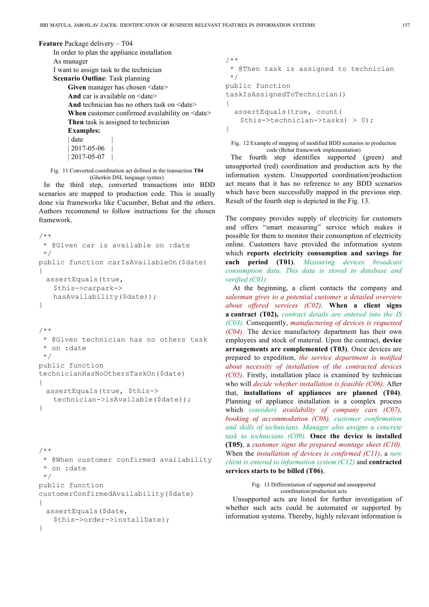#### **Feature** Package delivery – T04

```
In order to plan the appliance installation 
As manager
I want to assign task to the technician
Scenario Outline: Task planning
     Given manager has chosen <date>
     And car is available on \leqdate>
     And technician has no others task on \leqdate\geqWhen customer confirmed availability on <date>
    Then task is assigned to technician
    Examples:
     | date
     |2017-05-06| 2017 - 05 - 07
```
Fig. 11 Converted coordination act defined in the transaction **T04** (Gherkin DSL language syntax)

In the third step, converted transactions into BDD scenarios are mapped to production code. This is usually done via frameworks like Cucumber, Behat and the others. Authors recommend to follow instructions for the chosen framework.

```
/**
 * @Given car is available on :date
 */
public function carIsAvailableOn($date)
{ 
 assertEquals(true,
    $this->carpark-> 
   hasAvailability($date));
}
```

```
/**
 * @Given technician has no others task
  * on :date
 */
public function 
technicianHasNoOthersTaskOn($date)
{ 
 assertEquals(true, $this-> 
   technician->isAvailable($date));
}
```

```
/**
 * @When customer confirmed availability
 * on :date
 */
public function
customerConfirmedAvailability($date)
{ 
 assertEquals($date, 
   $this->order->installDate);
}
```

```
/**
 * @Then task is assigned to technician
 */
public function 
taskIsAssignedToTechnician()
{ 
   assertEquals(true, count(
   $this->technician->tasks) > 0);
}
```
Fig. 12 Example of mapping of modified BDD scenarios to production code (Behat framework implementation)

The fourth step identifies supported (green) and unsupported (red) coordination and production acts by the information system. Unsupported coordination/production act means that it has no reference to any BDD scenarios which have been successfully mapped in the previous step. Result of the fourth step is depicted in the Fig. 13.

The company provides supply of electricity for customers and offers "smart measuring" service which makes it possible for them to monitor their consumption of electricity online. Customers have provided the information system which **reports electricity consumption and savings for each period (T01)**. *Measuring devices broadcast consumption data. This data is stored to database and verified (C01).*

At the beginning, a client contacts the company and *salesman gives to a potential customer a detailed overview about offered services (C02)*. **When a client signs a contract (T02),** *contract details are entered into the IS (C03).* Consequently, *manufacturing of devices is requested (C04).* The device manufactory department has their own employees and stock of material. Upon the contract, **device arrangements are complemented (T03)**. Once devices are prepared to expedition, *the service department is notified about necessity of installation of the contracted devices (C05).* Firstly, installation place is examined by technician who will *decide whether installation is feasible (C06)*. After that, **installations of appliances are planned (T04)**. Planning of appliance installation is a complex process which *considers availability of company cars (C07), booking of accommodation (C08), customer confirmation and skills of technicians. Manager also assigns a concrete task to technicians (C09).* **Once the device is installed (T05)**, a *customer signs the prepared montage sheet (C10).* When the *installation of devices is confirmed (C11)*, a *new client is entered to information system (C12)* and **contracted services starts to be billed (T06)**.

> Fig. 13 Differentiation of supported and unsupported coordination/production acts

Unsupported acts are listed for further investigation of whether such acts could be automated or supported by information systems. Thereby, highly relevant information is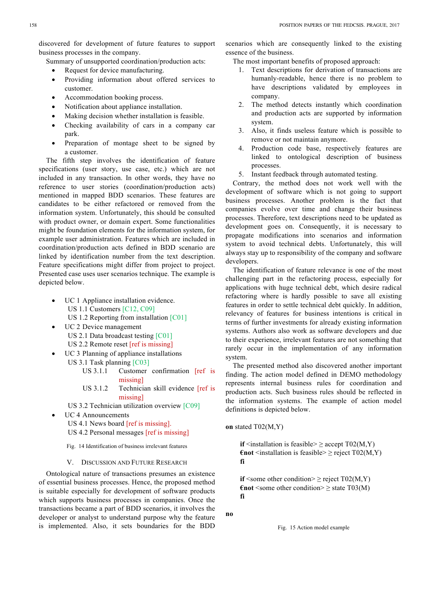Summary of unsupported coordination/production acts:

- Request for device manufacturing.
- Providing information about offered services to customer.
- Accommodation booking process.
- Notification about appliance installation.
- Making decision whether installation is feasible.
- Checking availability of cars in a company car park.
- Preparation of montage sheet to be signed by a customer.

The fifth step involves the identification of feature specifications (user story, use case, etc.) which are not included in any transaction. In other words, they have no reference to user stories (coordination/production acts) mentioned in mapped BDD scenarios. These features are candidates to be either refactored or removed from the information system. Unfortunately, this should be consulted with product owner, or domain expert. Some functionalities might be foundation elements for the information system, for example user administration. Features which are included in coordination/production acts defined in BDD scenario are linked by identification number from the text description. Feature specifications might differ from project to project. Presented case uses user scenarios technique. The example is depicted below.

- UC 1 Appliance installation evidence. US 1.1 Customers [C12, C09] US 1.2 Reporting from installation [C01]
- UC 2 Device management US 2.1 Data broadcast testing [C01] US 2.2 Remote reset [ref is missing]
- UC 3 Planning of appliance installations US 3.1 Task planning [C03]
	- US 3.1.1 Customer confirmation [ref is missing]
	- US 3.1.2 Technician skill evidence [ref is missing]
	- US 3.2 Technician utilization overview [C09]
- **UC4** Announcements

US 4.1 News board [ref is missing].

US 4.2 Personal messages [ref is missing]

Fig. 14 Identification of business irrelevant features

#### V. DISCUSSION AND FUTURE RESEARCH

Ontological nature of transactions presumes an existence of essential business processes. Hence, the proposed method is suitable especially for development of software products which supports business processes in companies. Once the transactions became a part of BDD scenarios, it involves the developer or analyst to understand purpose why the feature is implemented. Also, it sets boundaries for the BDD

scenarios which are consequently linked to the existing essence of the business.

The most important benefits of proposed approach:

- 1. Text descriptions for derivation of transactions are humanly-readable, hence there is no problem to have descriptions validated by employees in company.
- 2. The method detects instantly which coordination and production acts are supported by information system.
- 3. Also, it finds useless feature which is possible to remove or not maintain anymore.
- 4. Production code base, respectively features are linked to ontological description of business processes.
- 5. Instant feedback through automated testing.

Contrary, the method does not work well with the development of software which is not going to support business processes. Another problem is the fact that companies evolve over time and change their business processes. Therefore, text descriptions need to be updated as development goes on. Consequently, it is necessary to propagate modifications into scenarios and information system to avoid technical debts. Unfortunately, this will always stay up to responsibility of the company and software developers.

The identification of feature relevance is one of the most challenging part in the refactoring process, especially for applications with huge technical debt, which desire radical refactoring where is hardly possible to save all existing features in order to settle technical debt quickly. In addition, relevancy of features for business intentions is critical in terms of further investments for already existing information systems. Authors also work as software developers and due to their experience, irrelevant features are not something that rarely occur in the implementation of any information system.

The presented method also discovered another important finding. The action model defined in DEMO methodology represents internal business rules for coordination and production acts. Such business rules should be reflected in the information systems. The example of action model definitions is depicted below.

**on** stated T02(M,Y)

**if**  $\leq$  installation is feasible  $\geq$  accept T02(M,Y)  $\epsilon$ **not** <installation is feasible>  $\geq$  reject T02(M,Y) **fi** 

**if** <some other condition>  $\ge$  reject T02(M,Y)  $\epsilon$ **not** <some other condition>  $\geq$  state T03(M) **fi**

**no**

Fig. 15 Action model example